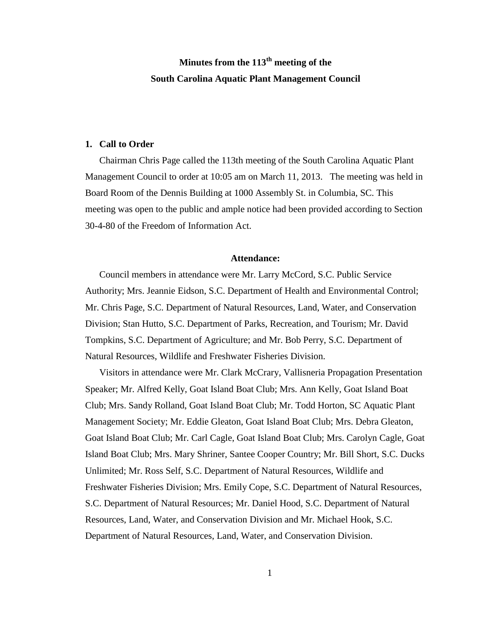# **Minutes from the 113th meeting of the South Carolina Aquatic Plant Management Council**

#### **1. Call to Order**

Chairman Chris Page called the 113th meeting of the South Carolina Aquatic Plant Management Council to order at 10:05 am on March 11, 2013. The meeting was held in Board Room of the Dennis Building at 1000 Assembly St. in Columbia, SC. This meeting was open to the public and ample notice had been provided according to Section 30-4-80 of the Freedom of Information Act.

#### **Attendance:**

Council members in attendance were Mr. Larry McCord, S.C. Public Service Authority; Mrs. Jeannie Eidson, S.C. Department of Health and Environmental Control; Mr. Chris Page, S.C. Department of Natural Resources, Land, Water, and Conservation Division; Stan Hutto, S.C. Department of Parks, Recreation, and Tourism; Mr. David Tompkins, S.C. Department of Agriculture; and Mr. Bob Perry, S.C. Department of Natural Resources, Wildlife and Freshwater Fisheries Division.

Visitors in attendance were Mr. Clark McCrary, Vallisneria Propagation Presentation Speaker; Mr. Alfred Kelly, Goat Island Boat Club; Mrs. Ann Kelly, Goat Island Boat Club; Mrs. Sandy Rolland, Goat Island Boat Club; Mr. Todd Horton, SC Aquatic Plant Management Society; Mr. Eddie Gleaton, Goat Island Boat Club; Mrs. Debra Gleaton, Goat Island Boat Club; Mr. Carl Cagle, Goat Island Boat Club; Mrs. Carolyn Cagle, Goat Island Boat Club; Mrs. Mary Shriner, Santee Cooper Country; Mr. Bill Short, S.C. Ducks Unlimited; Mr. Ross Self, S.C. Department of Natural Resources, Wildlife and Freshwater Fisheries Division; Mrs. Emily Cope, S.C. Department of Natural Resources, S.C. Department of Natural Resources; Mr. Daniel Hood, S.C. Department of Natural Resources, Land, Water, and Conservation Division and Mr. Michael Hook, S.C. Department of Natural Resources, Land, Water, and Conservation Division.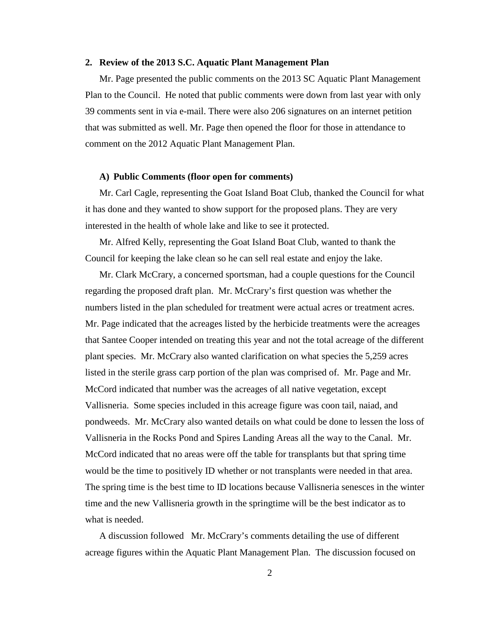#### **2. Review of the 2013 S.C. Aquatic Plant Management Plan**

Mr. Page presented the public comments on the 2013 SC Aquatic Plant Management Plan to the Council. He noted that public comments were down from last year with only 39 comments sent in via e-mail. There were also 206 signatures on an internet petition that was submitted as well. Mr. Page then opened the floor for those in attendance to comment on the 2012 Aquatic Plant Management Plan.

#### **A) Public Comments (floor open for comments)**

Mr. Carl Cagle, representing the Goat Island Boat Club, thanked the Council for what it has done and they wanted to show support for the proposed plans. They are very interested in the health of whole lake and like to see it protected.

Mr. Alfred Kelly, representing the Goat Island Boat Club, wanted to thank the Council for keeping the lake clean so he can sell real estate and enjoy the lake.

Mr. Clark McCrary, a concerned sportsman, had a couple questions for the Council regarding the proposed draft plan. Mr. McCrary's first question was whether the numbers listed in the plan scheduled for treatment were actual acres or treatment acres. Mr. Page indicated that the acreages listed by the herbicide treatments were the acreages that Santee Cooper intended on treating this year and not the total acreage of the different plant species. Mr. McCrary also wanted clarification on what species the 5,259 acres listed in the sterile grass carp portion of the plan was comprised of. Mr. Page and Mr. McCord indicated that number was the acreages of all native vegetation, except Vallisneria. Some species included in this acreage figure was coon tail, naiad, and pondweeds. Mr. McCrary also wanted details on what could be done to lessen the loss of Vallisneria in the Rocks Pond and Spires Landing Areas all the way to the Canal. Mr. McCord indicated that no areas were off the table for transplants but that spring time would be the time to positively ID whether or not transplants were needed in that area. The spring time is the best time to ID locations because Vallisneria senesces in the winter time and the new Vallisneria growth in the springtime will be the best indicator as to what is needed.

A discussion followed Mr. McCrary's comments detailing the use of different acreage figures within the Aquatic Plant Management Plan. The discussion focused on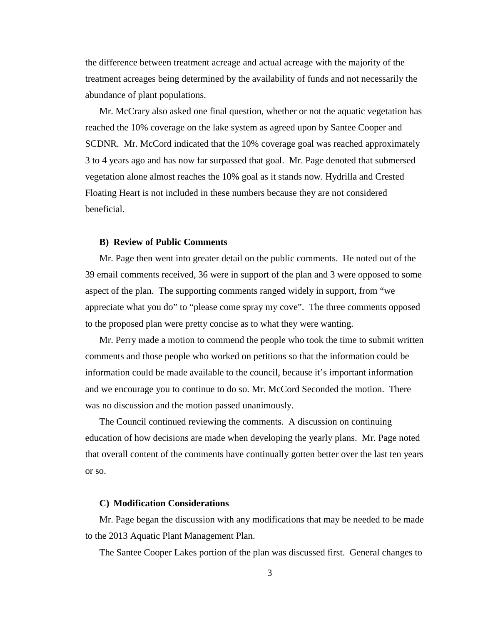the difference between treatment acreage and actual acreage with the majority of the treatment acreages being determined by the availability of funds and not necessarily the abundance of plant populations.

Mr. McCrary also asked one final question, whether or not the aquatic vegetation has reached the 10% coverage on the lake system as agreed upon by Santee Cooper and SCDNR. Mr. McCord indicated that the 10% coverage goal was reached approximately 3 to 4 years ago and has now far surpassed that goal. Mr. Page denoted that submersed vegetation alone almost reaches the 10% goal as it stands now. Hydrilla and Crested Floating Heart is not included in these numbers because they are not considered beneficial.

#### **B) Review of Public Comments**

Mr. Page then went into greater detail on the public comments. He noted out of the 39 email comments received, 36 were in support of the plan and 3 were opposed to some aspect of the plan. The supporting comments ranged widely in support, from "we appreciate what you do" to "please come spray my cove". The three comments opposed to the proposed plan were pretty concise as to what they were wanting.

Mr. Perry made a motion to commend the people who took the time to submit written comments and those people who worked on petitions so that the information could be information could be made available to the council, because it's important information and we encourage you to continue to do so. Mr. McCord Seconded the motion. There was no discussion and the motion passed unanimously.

The Council continued reviewing the comments. A discussion on continuing education of how decisions are made when developing the yearly plans. Mr. Page noted that overall content of the comments have continually gotten better over the last ten years or so.

#### **C) Modification Considerations**

Mr. Page began the discussion with any modifications that may be needed to be made to the 2013 Aquatic Plant Management Plan.

The Santee Cooper Lakes portion of the plan was discussed first. General changes to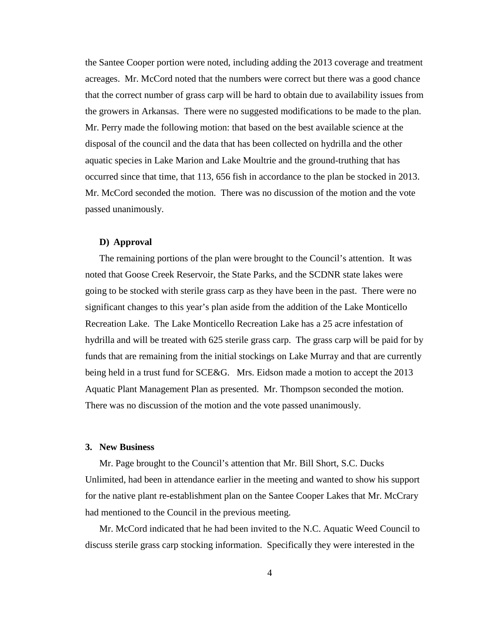the Santee Cooper portion were noted, including adding the 2013 coverage and treatment acreages. Mr. McCord noted that the numbers were correct but there was a good chance that the correct number of grass carp will be hard to obtain due to availability issues from the growers in Arkansas. There were no suggested modifications to be made to the plan. Mr. Perry made the following motion: that based on the best available science at the disposal of the council and the data that has been collected on hydrilla and the other aquatic species in Lake Marion and Lake Moultrie and the ground-truthing that has occurred since that time, that 113, 656 fish in accordance to the plan be stocked in 2013. Mr. McCord seconded the motion. There was no discussion of the motion and the vote passed unanimously.

#### **D) Approval**

The remaining portions of the plan were brought to the Council's attention. It was noted that Goose Creek Reservoir, the State Parks, and the SCDNR state lakes were going to be stocked with sterile grass carp as they have been in the past. There were no significant changes to this year's plan aside from the addition of the Lake Monticello Recreation Lake. The Lake Monticello Recreation Lake has a 25 acre infestation of hydrilla and will be treated with 625 sterile grass carp. The grass carp will be paid for by funds that are remaining from the initial stockings on Lake Murray and that are currently being held in a trust fund for SCE&G. Mrs. Eidson made a motion to accept the 2013 Aquatic Plant Management Plan as presented. Mr. Thompson seconded the motion. There was no discussion of the motion and the vote passed unanimously.

#### **3. New Business**

Mr. Page brought to the Council's attention that Mr. Bill Short, S.C. Ducks Unlimited, had been in attendance earlier in the meeting and wanted to show his support for the native plant re-establishment plan on the Santee Cooper Lakes that Mr. McCrary had mentioned to the Council in the previous meeting.

Mr. McCord indicated that he had been invited to the N.C. Aquatic Weed Council to discuss sterile grass carp stocking information. Specifically they were interested in the